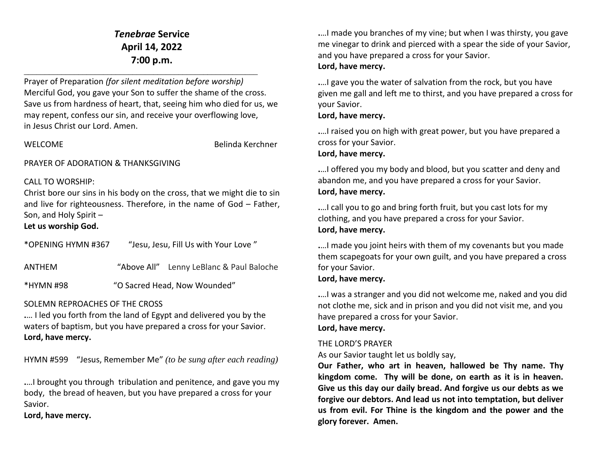# *Tenebrae* **Service April 14, 2022 7:00 p.m.** \_\_\_\_\_\_\_\_\_\_\_\_\_\_\_\_\_\_\_\_\_\_\_\_\_\_\_\_\_\_\_\_\_\_\_\_\_\_\_\_\_\_\_\_\_\_\_\_\_\_\_\_\_\_\_\_

Prayer of Preparation *(for silent meditation before worship)* Merciful God, you gave your Son to suffer the shame of the cross. Save us from hardness of heart, that, seeing him who died for us, we may repent, confess our sin, and receive your overflowing love, in Jesus Christ our Lord. Amen.

WELCOME Belinda Kerchner

#### PRAYER OF ADORATION & THANKSGIVING

#### CALL TO WORSHIP:

Christ bore our sins in his body on the cross, that we might die to sin and live for righteousness. Therefore, in the name of God – Father, Son, and Holy Spirit –

## **Let us worship God.**

| *OPENING HYMN #367 | "Jesu, Jesu, Fill Us with Your Love" |
|--------------------|--------------------------------------|
|--------------------|--------------------------------------|

ANTHEM "Above All" Lenny LeBlanc & Paul Baloche

### \*HYMN #98"O Sacred Head, Now Wounded"

#### SOLEMN REPROACHES OF THE CROSS

**.**… I led you forth from the land of Egypt and delivered you by the waters of baptism, but you have prepared a cross for your Savior. **Lord, have mercy.**

HYMN #599"Jesus, Remember Me" *(to be sung after each reading)*

**.**…I brought you through tribulation and penitence, and gave you my body, the bread of heaven, but you have prepared a cross for your Savior.

**Lord, have mercy.**

**.**…I made you branches of my vine; but when I was thirsty, you gave me vinegar to drink and pierced with a spear the side of your Savior, and you have prepared a cross for your Savior. **Lord, have mercy.**

**.**…I gave you the water of salvation from the rock, but you have given me gall and left me to thirst, and you have prepared a cross for your Savior.

### **Lord, have mercy.**

**.**…I raised you on high with great power, but you have prepared a cross for your Savior.

#### **Lord, have mercy.**

**.**…I offered you my body and blood, but you scatter and deny and abandon me, and you have prepared a cross for your Savior. **Lord, have mercy.**

**.**…I call you to go and bring forth fruit, but you cast lots for my clothing, and you have prepared a cross for your Savior. **Lord, have mercy.**

**.**…I made you joint heirs with them of my covenants but you made them scapegoats for your own guilt, and you have prepared a cross for your Savior.

### **Lord, have mercy.**

**.**…I was a stranger and you did not welcome me, naked and you did not clothe me, sick and in prison and you did not visit me, and you have prepared a cross for your Savior.

#### **Lord, have mercy.**

#### THE LORD'S PRAYER

As our Savior taught let us boldly say,

**Our Father, who art in heaven, hallowed be Thy name. Thy kingdom come. Thy will be done, on earth as it is in heaven. Give us this day our daily bread. And forgive us our debts as we forgive our debtors. And lead us not into temptation, but deliver us from evil. For Thine is the kingdom and the power and the glory forever. Amen.**